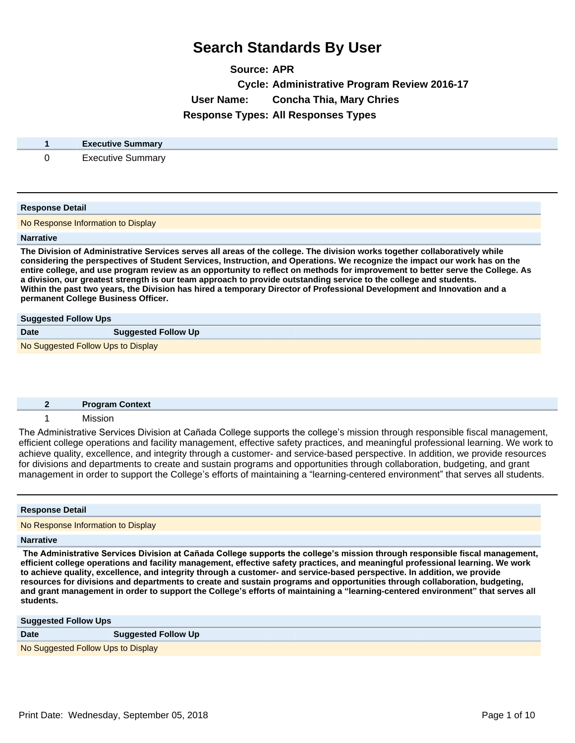**Source: APR Cycle: Administrative Program Review 2016-17 User Name: Concha Thia, Mary Chries Response Types: All Responses Types**

| <b>Executive Summary</b> |
|--------------------------|
| Precutive S<br>Summarv   |

#### **Response Detail**

No Response Information to Display

#### **Narrative**

**The Division of Administrative Services serves all areas of the college. The division works together collaboratively while considering the perspectives of Student Services, Instruction, and Operations. We recognize the impact our work has on the entire college, and use program review as an opportunity to reflect on methods for improvement to better serve the College. As a division, our greatest strength is our team approach to provide outstanding service to the college and students. Within the past two years, the Division has hired a temporary Director of Professional Development and Innovation and a permanent College Business Officer.**

| <b>Suggested Follow Ups</b>        |                            |
|------------------------------------|----------------------------|
| <b>Date</b>                        | <b>Suggested Follow Up</b> |
| No Suggested Follow Ups to Display |                            |

| <b>Program Context</b> |
|------------------------|
| Micrion                |

The Administrative Services Division at Cañada College supports the college's mission through responsible fiscal management, efficient college operations and facility management, effective safety practices, and meaningful professional learning. We work to achieve quality, excellence, and integrity through a customer- and service-based perspective. In addition, we provide resources for divisions and departments to create and sustain programs and opportunities through collaboration, budgeting, and grant management in order to support the College's efforts of maintaining a "learning-centered environment" that serves all students.

| <b>Response Detail</b>             |  |
|------------------------------------|--|
| No Response Information to Display |  |
| <b>Narrative</b>                   |  |

The Administrative Services Division at Cañada College supports the college's mission through responsible fiscal management, **efficient college operations and facility management, effective safety practices, and meaningful professional learning. We work to achieve quality, excellence, and integrity through a customer- and service-based perspective. In addition, we provide resources for divisions and departments to create and sustain programs and opportunities through collaboration, budgeting,**  and grant management in order to support the College's efforts of maintaining a "learning-centered environment" that serves all **students.** 

| <b>Suggested Follow Ups</b>        |                            |
|------------------------------------|----------------------------|
| <b>Date</b>                        | <b>Suggested Follow Up</b> |
| No Suggested Follow Ups to Display |                            |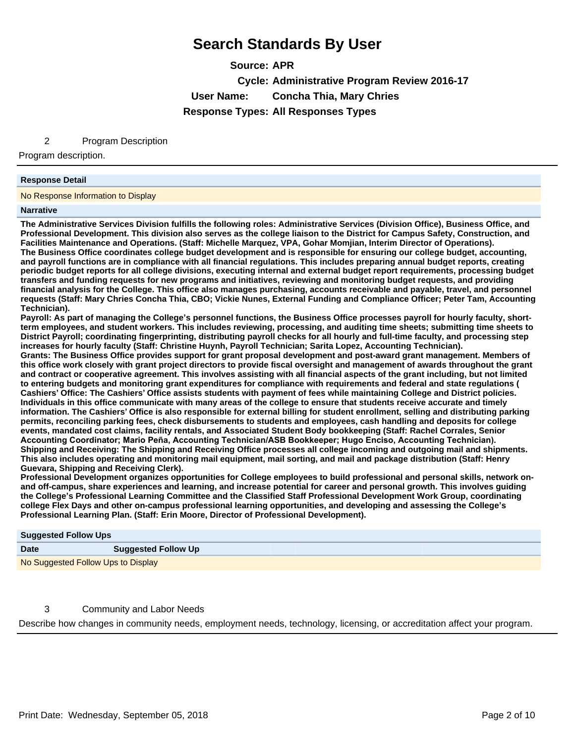**Source: APR Cycle: Administrative Program Review 2016-17 User Name: Concha Thia, Mary Chries Response Types: All Responses Types**

2 Program Description

Program description.

#### **Response Detail**

No Response Information to Display

#### **Narrative**

**The Administrative Services Division fulfills the following roles: Administrative Services (Division Office), Business Office, and Professional Development. This division also serves as the college liaison to the District for Campus Safety, Construction, and Facilities Maintenance and Operations. (Staff: Michelle Marquez, VPA, Gohar Momjian, Interim Director of Operations). The Business Office coordinates college budget development and is responsible for ensuring our college budget, accounting, and payroll functions are in compliance with all financial regulations. This includes preparing annual budget reports, creating periodic budget reports for all college divisions, executing internal and external budget report requirements, processing budget transfers and funding requests for new programs and initiatives, reviewing and monitoring budget requests, and providing financial analysis for the College. This office also manages purchasing, accounts receivable and payable, travel, and personnel requests (Staff: Mary Chries Concha Thia, CBO; Vickie Nunes, External Funding and Compliance Officer; Peter Tam, Accounting Technician).** 

Payroll: As part of managing the College's personnel functions, the Business Office processes payroll for hourly faculty, short**term employees, and student workers. This includes reviewing, processing, and auditing time sheets; submitting time sheets to District Payroll; coordinating fingerprinting, distributing payroll checks for all hourly and full-time faculty, and processing step increases for hourly faculty (Staff: Christine Huynh, Payroll Technician; Sarita Lopez, Accounting Technician).**

**Grants: The Business Office provides support for grant proposal development and post-award grant management. Members of this office work closely with grant project directors to provide fiscal oversight and management of awards throughout the grant and contract or cooperative agreement. This involves assisting with all financial aspects of the grant including, but not limited to entering budgets and monitoring grant expenditures for compliance with requirements and federal and state regulations ( Cashiers¶Office: The Cashiers¶Office assists students with payment of fees while maintaining College and District policies. Individuals in this office communicate with many areas of the college to ensure that students receive accurate and timely information. The Cashiers¶Office is also responsible for external billing for student enrollment, selling and distributing parking permits, reconciling parking fees, check disbursements to students and employees, cash handling and deposits for college events, mandated cost claims, facility rentals, and Associated Student Body bookkeeping (Staff: Rachel Corrales, Senior**  Accounting Coordinator; Mario Peña, Accounting Technician/ASB Bookkeeper; Hugo Enciso, Accounting Technician). **Shipping and Receiving: The Shipping and Receiving Office processes all college incoming and outgoing mail and shipments. This also includes operating and monitoring mail equipment, mail sorting, and mail and package distribution (Staff: Henry Guevara, Shipping and Receiving Clerk).**

**Professional Development organizes opportunities for College employees to build professional and personal skills, network onand off-campus, share experiences and learning, and increase potential for career and personal growth. This involves guiding the College¶s Professional Learning Committee and the Classified Staff Professional Development Work Group, coordinating college Flex Days and other on-campus professional learning opportunities, and developing and assessing the College¶s Professional Learning Plan. (Staff: Erin Moore, Director of Professional Development).**

| <b>Suggested Follow Ups</b>        |                            |
|------------------------------------|----------------------------|
| <b>Date</b>                        | <b>Suggested Follow Up</b> |
| No Suggested Follow Ups to Display |                            |

3 Community and Labor Needs

Describe how changes in community needs, employment needs, technology, licensing, or accreditation affect your program.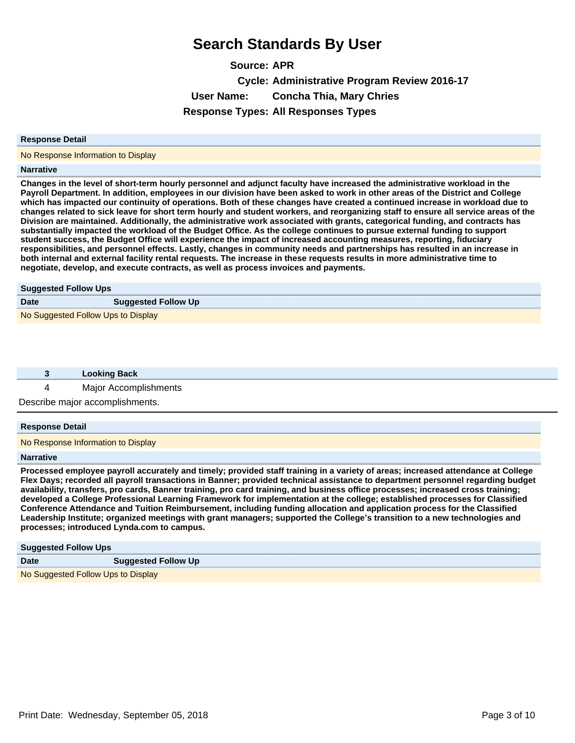**Source: APR Cycle: Administrative Program Review 2016-17 User Name: Concha Thia, Mary Chries Response Types: All Responses Types**

#### **Response Detail**

No Response Information to Display

#### **Narrative**

**Changes in the level of short-term hourly personnel and adjunct faculty have increased the administrative workload in the Payroll Department. In addition, employees in our division have been asked to work in other areas of the District and College which has impacted our continuity of operations. Both of these changes have created a continued increase in workload due to changes related to sick leave for short term hourly and student workers, and reorganizing staff to ensure all service areas of the Division are maintained. Additionally, the administrative work associated with grants, categorical funding, and contracts has substantially impacted the workload of the Budget Office. As the college continues to pursue external funding to support student success, the Budget Office will experience the impact of increased accounting measures, reporting, fiduciary responsibilities, and personnel effects. Lastly, changes in community needs and partnerships has resulted in an increase in both internal and external facility rental requests. The increase in these requests results in more administrative time to negotiate, develop, and execute contracts, as well as process invoices and payments.** 

| <b>Suggested Follow Ups</b>        |                            |  |
|------------------------------------|----------------------------|--|
| <b>Date</b>                        | <b>Suggested Follow Up</b> |  |
| No Suggested Follow Ups to Display |                            |  |

| <b>Looking Back</b>             |
|---------------------------------|
| Major Accomplishments           |
| Describe major accomplishments. |

#### **Response Detail**

No Response Information to Display

#### **Narrative**

**Processed employee payroll accurately and timely; provided staff training in a variety of areas; increased attendance at College Flex Days; recorded all payroll transactions in Banner; provided technical assistance to department personnel regarding budget availability, transfers, pro cards, Banner training, pro card training, and business office processes; increased cross training; developed a College Professional Learning Framework for implementation at the college; established processes for Classified Conference Attendance and Tuition Reimbursement, including funding allocation and application process for the Classified Leadership Institute; organized meetings with grant managers; supported the College¶s transition to a new technologies and processes; introduced Lynda.com to campus.**

| <b>Suggested Follow Ups</b>        |                            |
|------------------------------------|----------------------------|
| <b>Date</b>                        | <b>Suggested Follow Up</b> |
| No Suggested Follow Ups to Display |                            |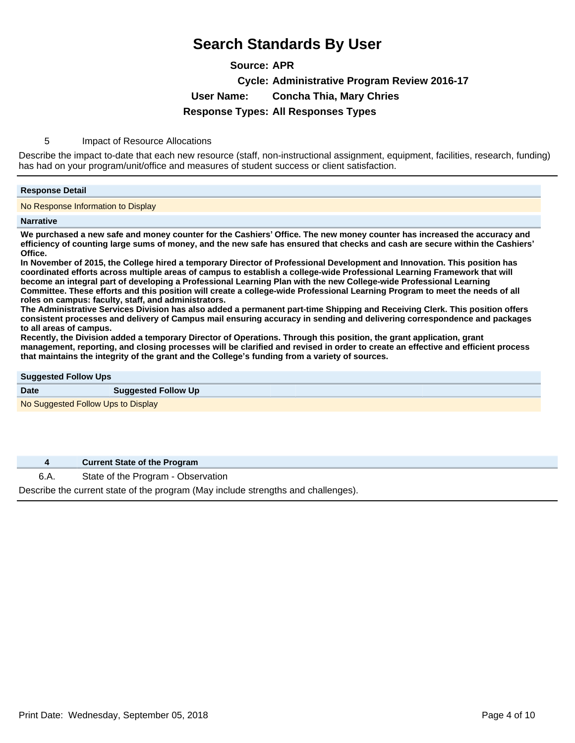**Source: APR Cycle: Administrative Program Review 2016-17 User Name: Concha Thia, Mary Chries Response Types: All Responses Types**

5 Impact of Resource Allocations

Describe the impact to-date that each new resource (staff, non-instructional assignment, equipment, facilities, research, funding) has had on your program/unit/office and measures of student success or client satisfaction.

#### **Response Detail**

No Response Information to Display

#### **Narrative**

**We purchased a new safe and money counter for the Cashiers¶Office. The new money counter has increased the accuracy and efficiency of counting large sums of money, and the new safe has ensured that checks and cash are secure within the Cashiers¶ Office.**

**In November of 2015, the College hired a temporary Director of Professional Development and Innovation. This position has coordinated efforts across multiple areas of campus to establish a college-wide Professional Learning Framework that will become an integral part of developing a Professional Learning Plan with the new College-wide Professional Learning Committee. These efforts and this position will create a college-wide Professional Learning Program to meet the needs of all roles on campus: faculty, staff, and administrators.** 

**The Administrative Services Division has also added a permanent part-time Shipping and Receiving Clerk. This position offers consistent processes and delivery of Campus mail ensuring accuracy in sending and delivering correspondence and packages to all areas of campus.**

**Recently, the Division added a temporary Director of Operations. Through this position, the grant application, grant management, reporting, and closing processes will be clarified and revised in order to create an effective and efficient process that maintains the integrity of the grant and the College¶s funding from a variety of sources.**

| <b>Suggested Follow Ups</b>        |                            |
|------------------------------------|----------------------------|
| <b>Date</b>                        | <b>Suggested Follow Up</b> |
| No Suggested Follow Ups to Display |                            |

**4 Current State of the Program**

6.A. State of the Program - Observation

Describe the current state of the program (May include strengths and challenges).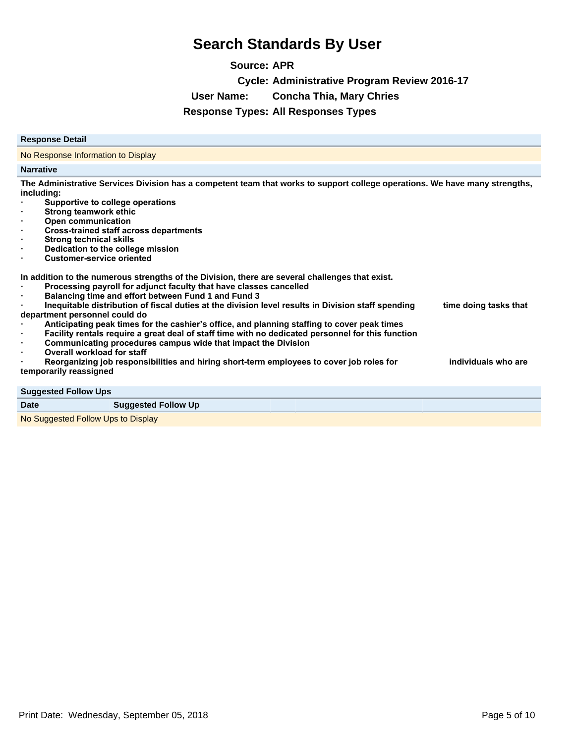**Source: APR Cycle: Administrative Program Review 2016-17 User Name: Concha Thia, Mary Chries Response Types: All Responses Types**

#### **Response Detail**

No Response Information to Display

#### **Narrative**

**The Administrative Services Division has a competent team that works to support college operations. We have many strengths, including:**

- **Supportive to college operations**
- **Strong teamwork ethic**
- **Open communication**
- **Cross-trained staff across departments**
- **Strong technical skills**
- **Dedication to the college mission**
- **Customer-service oriented**

**In addition to the numerous strengths of the Division, there are several challenges that exist.**

- Processing payroll for adjunct faculty that have classes cancelled
- Balancing time and effort between Fund 1 and Fund 3
- Inequitable distribution of fiscal duties at the division level results in Division staff spending time doing tasks that **department personnel could do** Anticipating peak times for the cashier's office, and planning staffing to cover peak times
- Facility rentals require a great deal of staff time with no dedicated personnel for this function
- Communicating procedures campus wide that impact the Division
- **Overall workload for staff**

Reorganizing job responsibilities and hiring short-term employees to cover job roles for **holloginal** individuals who are **temporarily reassigned**

**Suggested Follow Ups**

#### **Date Suggested Follow Up**

No Suggested Follow Ups to Display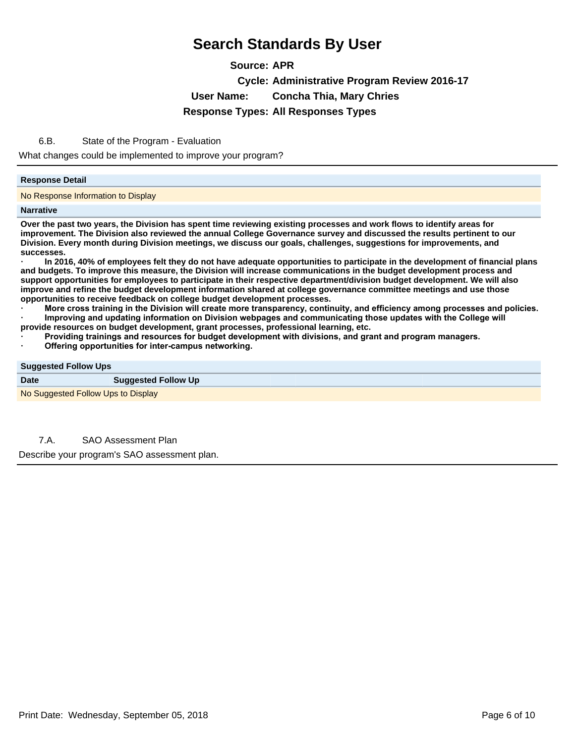**Source: APR Cycle: Administrative Program Review 2016-17 User Name: Concha Thia, Mary Chries Response Types: All Responses Types**

6.B. State of the Program - Evaluation

What changes could be implemented to improve your program?

#### **Response Detail**

No Response Information to Display

#### **Narrative**

**Over the past two years, the Division has spent time reviewing existing processes and work flows to identify areas for improvement. The Division also reviewed the annual College Governance survey and discussed the results pertinent to our Division. Every month during Division meetings, we discuss our goals, challenges, suggestions for improvements, and successes.** 

In 2016, 40% of employees felt they do not have adequate opportunities to participate in the development of financial plans **and budgets. To improve this measure, the Division will increase communications in the budget development process and support opportunities for employees to participate in their respective department/division budget development. We will also improve and refine the budget development information shared at college governance committee meetings and use those opportunities to receive feedback on college budget development processes.**

More cross training in the Division will create more transparency, continuity, and efficiency among processes and policies.

Improving and updating information on Division webpages and communicating those updates with the College will **provide resources on budget development, grant processes, professional learning, etc.** 

- Providing trainings and resources for budget development with divisions, and grant and program managers.
- **Offering opportunities for inter-campus networking.**

#### **Suggested Follow Ups**

No Suggested Follow Ups to Display

7.A. SAO Assessment Plan

Describe your program's SAO assessment plan.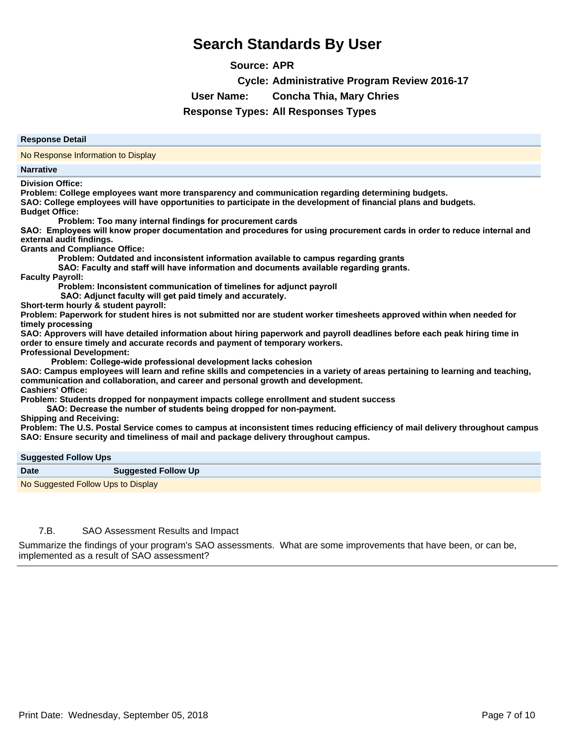**Source: APR**

**Cycle: Administrative Program Review 2016-17**

**User Name: Concha Thia, Mary Chries**

**Response Types: All Responses Types**

#### **Response Detail**

No Response Information to Display

#### **Narrative**

**Division Office:** 

**Problem: College employees want more transparency and communication regarding determining budgets.**

**SAO: College employees will have opportunities to participate in the development of financial plans and budgets.**

### **Budget Office:**

Problem: Too many internal findings for procurement cards

SAO: Employees will know proper documentation and procedures for using procurement cards in order to reduce internal and **external audit findings.**

**Grants and Compliance Office:** 

Problem: Outdated and inconsistent information available to campus regarding grants

**6 SAO: Faculty and staff will have information and documents available regarding grants.** 

**Faculty Payroll:** 

Problem: Inconsistent communication of timelines for adjunct payroll

**6 SAO: Adjunct faculty will get paid timely and accurately.** 

**Short-term hourly & student payroll:** 

**Problem: Paperwork for student hires is not submitted nor are student worker timesheets approved within when needed for**  timely processing

**SAO: Approvers will have detailed information about hiring paperwork and payroll deadlines before each peak hiring time in order to ensure timely and accurate records and payment of temporary workers.**

**Professional Development:**

**Problem: College-wide professional development lacks cohesion** 

**SAO: Campus employees will learn and refine skills and competencies in a variety of areas pertaining to learning and teaching, communication and collaboration, and career and personal growth and development. Cashiers' Office:** 

**Problem: Students dropped for nonpayment impacts college enrollment and student success**

**6 SAO: Decrease the number of students being dropped for non-payment.** 

**Shipping and Receiving:** 

**Problem: The U.S. Postal Service comes to campus at inconsistent times reducing efficiency of mail delivery throughout campus SAO: Ensure security and timeliness of mail and package delivery throughout campus.**

#### **Suggested Follow Ups**

| ___         |                                    |
|-------------|------------------------------------|
| <b>Date</b> | <b>Suggested Follow Up</b>         |
|             | No Suggested Follow Ups to Display |

#### 7.B. SAO Assessment Results and Impact

Summarize the findings of your program's SAO assessments. What are some improvements that have been, or can be, implemented as a result of SAO assessment?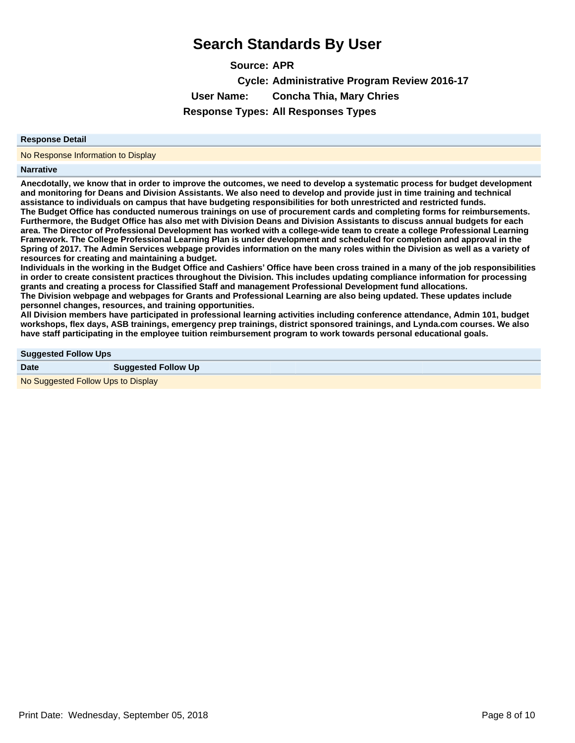**Source: APR Cycle: Administrative Program Review 2016-17 User Name: Concha Thia, Mary Chries Response Types: All Responses Types**

#### **Response Detail**

No Response Information to Display

#### **Narrative**

**Anecdotally, we know that in order to improve the outcomes, we need to develop a systematic process for budget development and monitoring for Deans and Division Assistants. We also need to develop and provide just in time training and technical assistance to individuals on campus that have budgeting responsibilities for both unrestricted and restricted funds. The Budget Office has conducted numerous trainings on use of procurement cards and completing forms for reimbursements. Furthermore, the Budget Office has also met with Division Deans and Division Assistants to discuss annual budgets for each area. The Director of Professional Development has worked with a college-wide team to create a college Professional Learning Framework. The College Professional Learning Plan is under development and scheduled for completion and approval in the Spring of 2017. The Admin Services webpage provides information on the many roles within the Division as well as a variety of resources for creating and maintaining a budget.** 

**Individuals in the working in the Budget Office and Cashiers¶Office have been cross trained in a many of the job responsibilities in order to create consistent practices throughout the Division. This includes updating compliance information for processing grants and creating a process for Classified Staff and management Professional Development fund allocations.** 

**The Division webpage and webpages for Grants and Professional Learning are also being updated. These updates include personnel changes, resources, and training opportunities.** 

**All Division members have participated in professional learning activities including conference attendance, Admin 101, budget workshops, flex days, ASB trainings, emergency prep trainings, district sponsored trainings, and Lynda.com courses. We also have staff participating in the employee tuition reimbursement program to work towards personal educational goals.**

#### **Suggested Follow Ups**

| <b>Date</b>                        | <b>Suggested Follow Up</b> |
|------------------------------------|----------------------------|
| No Suggested Follow Ups to Display |                            |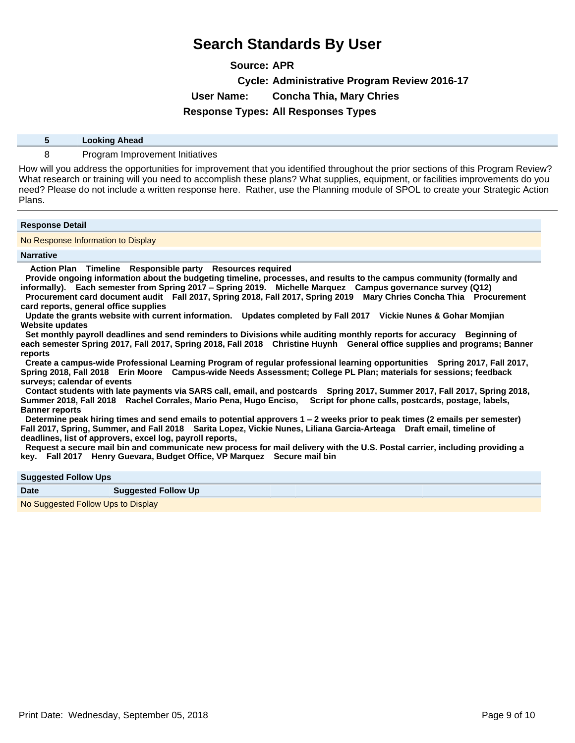**Source: APR Cycle: Administrative Program Review 2016-17 User Name: Concha Thia, Mary Chries Response Types: All Responses Types**

| <b>Looking Ahead</b> |
|----------------------|
|                      |

8 Program Improvement Initiatives

How will you address the opportunities for improvement that you identified throughout the prior sections of this Program Review? What research or training will you need to accomplish these plans? What supplies, equipment, or facilities improvements do you need? Please do not include a written response here. Rather, use the Planning module of SPOL to create your Strategic Action Plans.

#### **Response Detail**

No Response Information to Display

#### **Narrative**

 **Action Plan Timeline Responsible party Resources required** 

 **Provide ongoing information about the budgeting timeline, processes, and results to the campus community (formally and informally). Each semester from Spring 2017±Spring 2019. Michelle Marquez Campus governance survey (Q12) Procurement card document audit Fall 2017, Spring 2018, Fall 2017, Spring 2019 Mary Chries Concha Thia Procurement card reports, general office supplies** 

 **Update the grants website with current information. Updates completed by Fall 2017 Vickie Nunes & Gohar Momjian Website updates** 

 **Set monthly payroll deadlines and send reminders to Divisions while auditing monthly reports for accuracy Beginning of each semester Spring 2017, Fall 2017, Spring 2018, Fall 2018 Christine Huynh General office supplies and programs; Banner reports** 

 **Create a campus-wide Professional Learning Program of regular professional learning opportunities Spring 2017, Fall 2017, Spring 2018, Fall 2018 Erin Moore Campus-wide Needs Assessment; College PL Plan; materials for sessions; feedback surveys; calendar of events** 

 **Contact students with late payments via SARS call, email, and postcards Spring 2017, Summer 2017, Fall 2017, Spring 2018, Summer 2018, Fall 2018 Rachel Corrales, Mario Pena, Hugo Enciso, Script for phone calls, postcards, postage, labels, Banner reports** 

 **Determine peak hiring times and send emails to potential approvers 1±2 weeks prior to peak times (2 emails per semester) Fall 2017, Spring, Summer, and Fall 2018 Sarita Lopez, Vickie Nunes, Liliana Garcia-Arteaga Draft email, timeline of deadlines, list of approvers, excel log, payroll reports,** 

 **Request a secure mail bin and communicate new process for mail delivery with the U.S. Postal carrier, including providing a key. Fall 2017 Henry Guevara, Budget Office, VP Marquez Secure mail bin** 

#### **Suggested Follow Ups**

| <b>Date</b>                        | <b>Suggested Follow Up</b> |  |
|------------------------------------|----------------------------|--|
| No Suggested Follow Ups to Display |                            |  |